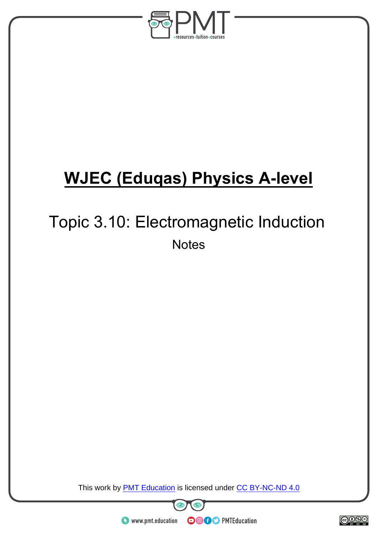

# **WJEC (Eduqas) Physics A-level**

## Topic 3.10: Electromagnetic Induction **Notes**

This work by **PMT Education** is licensed under CC BY-NC-ND 4.0



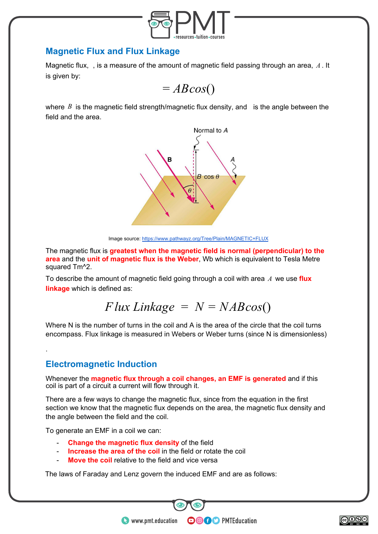

### **Magnetic Flux and Flux Linkage**

Magnetic flux, , is a measure of the amount of magnetic field passing through an area,  $A$ . It is given by:



where  $B$  is the magnetic field strength/magnetic flux density, and is the angle between the field and the area.



Image source:<https://www.pathwayz.org/Tree/Plain/MAGNETIC+FLUX>

The magnetic flux is **greatest when the magnetic field is normal (perpendicular) to the area** and the **unit of magnetic flux is the Weber**, Wb which is equivalent to Tesla Metre squared Tm^2.

To describe the amount of magnetic field going through a coil with area *A* we use **flux linkage** which is defined as:

$$
Flux\,Linked = N = NABcos()
$$

Where N is the number of turns in the coil and A is the area of the circle that the coil turns encompass. Flux linkage is measured in Webers or Weber turns (since N is dimensionless)

## **Electromagnetic Induction**

.

Whenever the **magnetic flux through a coil changes, an EMF is generated** and if this coil is part of a circuit a current will flow through it.

There are a few ways to change the magnetic flux, since from the equation in the first section we know that the magnetic flux depends on the area, the magnetic flux density and the angle between the field and the coil.

**OOOO** PMTEducation

To generate an EMF in a coil we can:

- **Change the magnetic flux density** of the field
- **Increase the area of the coil** in the field or rotate the coil
- **Move the coil** relative to the field and vice versa

The laws of Faraday and Lenz govern the induced EMF and are as follows:

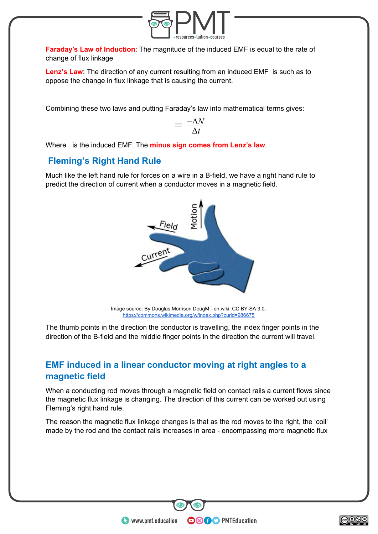

**Faraday's Law of Induction**: The magnitude of the induced EMF is equal to the rate of change of flux linkage

**Lenz's Law**: The direction of any current resulting from an induced EMF is such as to oppose the change in flux linkage that is causing the current.

Combining these two laws and putting Faraday's law into mathematical terms gives:

$$
= \frac{-\Delta N}{\Delta t}
$$

Where is the induced EMF. The **minus sign comes from Lenz's law**.

## **Fleming's Right Hand Rule**

Much like the left hand rule for forces on a wire in a B-field, we have a right hand rule to predict the direction of current when a conductor moves in a magnetic field.



Image source: By Douglas Morrison DougM - en.wiki, CC BY-SA 3.0, <https://commons.wikimedia.org/w/index.php?curid=986675>

The thumb points in the direction the conductor is travelling, the index finger points in the direction of the B-field and the middle finger points in the direction the current will travel.

## **EMF induced in a linear conductor moving at right angles to a magnetic field**

When a conducting rod moves through a magnetic field on contact rails a current flows since the magnetic flux linkage is changing. The direction of this current can be worked out using Fleming's right hand rule.

The reason the magnetic flux linkage changes is that as the rod moves to the right, the 'coil' made by the rod and the contact rails increases in area - encompassing more magnetic flux

**OOOO** PMTEducation

 $\bullet$  www.pmt.education